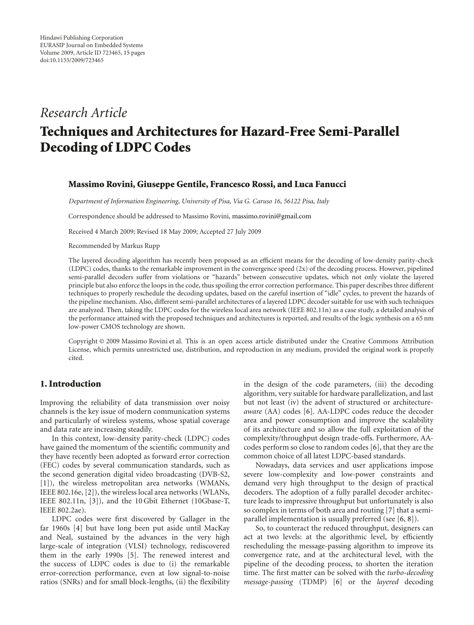# *Research Article*

# **Techniques and Architectures for Hazard-Free Semi-Parallel Decoding of LDPC Codes**

#### **Massimo Rovini, Giuseppe Gentile, Francesco Rossi, and Luca Fanucci**

*Department of Information Engineering, University of Pisa, Via G. Caruso 16, 56122 Pisa, Italy*

Correspondence should be addressed to Massimo Rovini, massimo.rovini@gmail.com

Received 4 March 2009; Revised 18 May 2009; Accepted 27 July 2009

Recommended by Markus Rupp

The layered decoding algorithm has recently been proposed as an efficient means for the decoding of low-density parity-check (LDPC) codes, thanks to the remarkable improvement in the convergence speed (2x) of the decoding process. However, pipelined semi-parallel decoders suffer from violations or "hazards" between consecutive updates, which not only violate the layered principle but also enforce the loops in the code, thus spoiling the error correction performance. This paper describes three different techniques to properly reschedule the decoding updates, based on the careful insertion of "idle" cycles, to prevent the hazards of the pipeline mechanism. Also, different semi-parallel architectures of a layered LDPC decoder suitable for use with such techniques are analyzed. Then, taking the LDPC codes for the wireless local area network (IEEE 802.11n) as a case study, a detailed analysis of the performance attained with the proposed techniques and architectures is reported, and results of the logic synthesis on a 65 nm low-power CMOS technology are shown.

Copyright © 2009 Massimo Rovini et al. This is an open access article distributed under the Creative Commons Attribution License, which permits unrestricted use, distribution, and reproduction in any medium, provided the original work is properly cited.

# **1. Introduction**

Improving the reliability of data transmission over noisy channels is the key issue of modern communication systems and particularly of wireless systems, whose spatial coverage and data rate are increasing steadily.

In this context, low-density parity-check (LDPC) codes have gained the momentum of the scientific community and they have recently been adopted as forward error correction (FEC) codes by several communication standards, such as the second generation digital video broadcasting (DVB-S2, [1]), the wireless metropolitan area networks (WMANs, IEEE 802.16e, [2]), the wireless local area networks (WLANs, IEEE 802.11n, [3]), and the 10 Gbit Ethernet (10Gbase-T, IEEE 802.2ae).

LDPC codes were first discovered by Gallager in the far 1960s [4] but have long been put aside until MacKay and Neal, sustained by the advances in the very high large-scale of integration (VLSI) technology, rediscovered them in the early 1990s [5]. The renewed interest and the success of LDPC codes is due to (i) the remarkable error-correction performance, even at low signal-to-noise ratios (SNRs) and for small block-lengths, (ii) the flexibility in the design of the code parameters, (iii) the decoding algorithm, very suitable for hardware parallelization, and last but not least (iv) the advent of structured or architecture*aware* (AA) codes [6]. AA-LDPC codes reduce the decoder area and power consumption and improve the scalability of its architecture and so allow the full exploitation of the complexity/throughput design trade-offs. Furthermore, AAcodes perform so close to random codes [6], that they are the common choice of all latest LDPC-based standards.

Nowadays, data services and user applications impose severe low-complexity and low-power constraints and demand very high throughput to the design of practical decoders. The adoption of a fully parallel decoder architecture leads to impressive throughput but unfortunately is also so complex in terms of both area and routing [7] that a semiparallel implementation is usually preferred (see [6, 8]).

So, to counteract the reduced throughput, designers can act at two levels: at the algorithmic level, by efficiently rescheduling the message-passing algorithm to improve its convergence rate, and at the architectural level, with the pipeline of the decoding process, to shorten the iteration time. The first matter can be solved with the *turbo-decoding message-passing* (TDMP) [6] or the *layered* decoding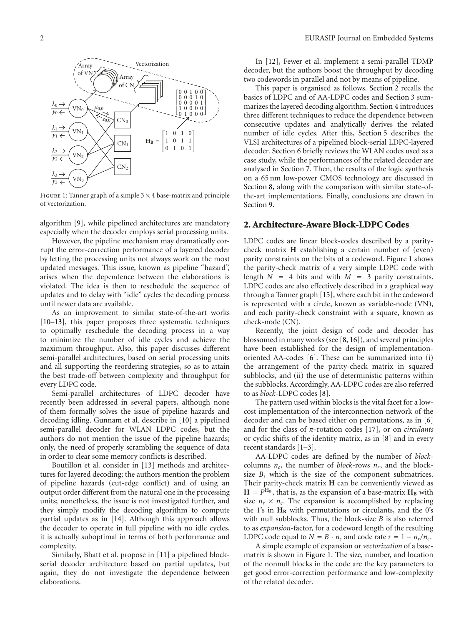

FIGURE 1: Tanner graph of a simple  $3 \times 4$  base-matrix and principle of vectorization.

algorithm [9], while pipelined architectures are mandatory especially when the decoder employs serial processing units.

However, the pipeline mechanism may dramatically corrupt the error-correction performance of a layered decoder by letting the processing units not always work on the most updated messages. This issue, known as pipeline "hazard", arises when the dependence between the elaborations is violated. The idea is then to reschedule the sequence of updates and to delay with "idle" cycles the decoding process until newer data are available.

As an improvement to similar state-of-the-art works [10–13], this paper proposes three systematic techniques to optimally reschedule the decoding process in a way to minimize the number of idle cycles and achieve the maximum throughput. Also, this paper discusses different semi-parallel architectures, based on serial processing units and all supporting the reordering strategies, so as to attain the best trade-off between complexity and throughput for every LDPC code.

Semi-parallel architectures of LDPC decoder have recently been addressed in several papers, although none of them formally solves the issue of pipeline hazards and decoding idling. Gunnam et al. describe in [10] a pipelined semi-parallel decoder for WLAN LDPC codes, but the authors do not mention the issue of the pipeline hazards; only, the need of properly scrambling the sequence of data in order to clear some memory conflicts is described.

Boutillon et al. consider in [13] methods and architectures for layered decoding; the authors mention the problem of pipeline hazards (cut-edge conflict) and of using an output order different from the natural one in the processing units; nonetheless, the issue is not investigated further, and they simply modify the decoding algorithm to compute partial updates as in [14]. Although this approach allows the decoder to operate in full pipeline with no idle cycles, it is actually suboptimal in terms of both performance and complexity.

Similarly, Bhatt et al. propose in [11] a pipelined blockserial decoder architecture based on partial updates, but again, they do not investigate the dependence between elaborations.

In [12], Fewer et al. implement a semi-parallel TDMP decoder, but the authors boost the throughput by decoding two codewords in parallel and not by means of pipeline.

This paper is organised as follows. Section 2 recalls the basics of LDPC and of AA-LDPC codes and Section 3 summarizes the layered decoding algorithm. Section 4 introduces three different techniques to reduce the dependence between consecutive updates and analytically derives the related number of idle cycles. After this, Section 5 describes the VLSI architectures of a pipelined block-serial LDPC-layered decoder. Section 6 briefly reviews the WLAN codes used as a case study, while the performances of the related decoder are analysed in Section 7. Then, the results of the logic synthesis on a 65 nm low-power CMOS technology are discussed in Section 8, along with the comparison with similar state-ofthe-art implementations. Finally, conclusions are drawn in Section 9.

#### **2. Architecture-Aware Block-LDPC Codes**

LDPC codes are linear block-codes described by a paritycheck matrix **H** establishing a certain number of (even) parity constraints on the bits of a codeword. Figure 1 shows the parity-check matrix of a very simple LDPC code with length  $N = 4$  bits and with  $M = 3$  parity constraints. LDPC codes are also effectively described in a graphical way through a Tanner graph [15], where each bit in the codeword is represented with a circle, known as variable-node (VN), and each parity-check constraint with a square, known as check-node (CN).

Recently, the joint design of code and decoder has blossomed in many works (see [8, 16]), and several principles have been established for the design of implementationoriented AA-codes [6]. These can be summarized into (i) the arrangement of the parity-check matrix in squared subblocks, and (ii) the use of deterministic patterns within the subblocks. Accordingly, AA-LDPC codes are also referred to as *block*-LDPC codes [8].

The pattern used within blocks is the vital facet for a lowcost implementation of the interconnection network of the decoder and can be based either on permutations, as in [6] and for the class of *π*-rotation codes [17], or on *circulants* or cyclic shifts of the identity matrix, as in [8] and in every recent standards [1–3].

AA-LDPC codes are defined by the number of *block*columns  $n_c$ , the number of *block*-rows  $n_r$ , and the blocksize *B*, which is the size of the component submatrices. Their parity-check matrix **H** can be conveniently viewed as  $H = P^{H_B}$ , that is, as the expansion of a base-matrix  $H_B$  with size  $n_r \times n_c$ . The expansion is accomplished by replacing the 1's in  $H_B$  with permutations or circulants, and the 0's with null subblocks. Thus, the block-size *B* is also referred to as *expansion*-factor, for a codeword length of the resulting LDPC code equal to  $N = B \cdot n_c$  and code rate  $r = 1 - n_r/n_c$ .

A simple example of expansion or *vectorization* of a basematrix is shown in Figure 1. The size, number, and location of the nonnull blocks in the code are the key parameters to get good error-correction performance and low-complexity of the related decoder.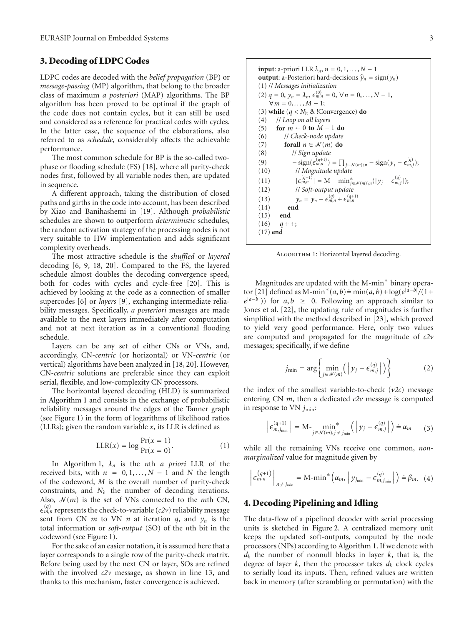## **3. Decoding of LDPC Codes**

LDPC codes are decoded with the *belief propagation* (BP) or *message-passing* (MP) algorithm, that belong to the broader class of maximum *a posteriori* (MAP) algorithms. The BP algorithm has been proved to be optimal if the graph of the code does not contain cycles, but it can still be used and considered as a reference for practical codes with cycles. In the latter case, the sequence of the elaborations, also referred to as *schedule*, considerably affects the achievable performance.

The most common schedule for BP is the so-called twophase or flooding schedule (FS) [18], where all parity-check nodes first, followed by all variable nodes then, are updated in sequence.

A different approach, taking the distribution of closed paths and girths in the code into account, has been described by Xiao and Banihashemi in [19]. Although *probabilistic* schedules are shown to outperform *deterministic* schedules, the random activation strategy of the processing nodes is not very suitable to HW implementation and adds significant complexity overheads.

The most attractive schedule is the *shuffled* or *layered* decoding [6, 9, 18, 20]. Compared to the FS, the layered schedule almost doubles the decoding convergence speed, both for codes with cycles and cycle-free [20]. This is achieved by looking at the code as a connection of smaller supercodes [6] or *layers* [9], exchanging intermediate reliability messages. Specifically, *a posteriori* messages are made available to the next layers immediately after computation and not at next iteration as in a conventional flooding schedule.

Layers can be any set of either CNs or VNs, and, accordingly, CN-*centric* (or horizontal) or VN-*centric* (or vertical) algorithms have been analyzed in [18, 20]. However, CN-*centric* solutions are preferable since they can exploit serial, flexible, and low-complexity CN processors.

The horizontal layered decoding (HLD) is summarized in Algorithm 1 and consists in the exchange of probabilistic reliability messages around the edges of the Tanner graph (see Figure 1) in the form of logarithms of likelihood ratios (LLRs); given the random variable *x*, its LLR is defined as

$$
LLR(x) = \log \frac{\Pr(x=1)}{\Pr(x=0)}.
$$
 (1)

In Algorithm 1, *λn* is the *n*th *a priori* LLR of the received bits, with  $n = 0, 1, \ldots, N - 1$  and *N* the length of the codeword, *M* is the overall number of parity-check constraints, and *N*it the number of decoding iterations. Also,  $\mathcal{N}(m)$  is the set of VNs connected to the *m*th CN,  $\epsilon_{m,n}^{(q)}$  represents the check-to-variable (*c2v*) reliability message sent from CN *m* to VN *n* at iteration *q*, and *yn* is the total information or *soft-output* (SO) of the *n*th bit in the codeword (see Figure 1).

For the sake of an easier notation, it is assumed here that a layer corresponds to a single row of the parity-check matrix. Before being used by the next CN or layer, SOs are refined with the involved *c2v* message, as shown in line 13, and thanks to this mechanism, faster convergence is achieved.

**input**: a-priori LLR  $\lambda_n$ ,  $n = 0, 1, \ldots, N - 1$ **output:** a-Posteriori hard-decisions  $\hat{y}_n = sign(y_n)$ (1) // *Messages initialization*  $(2)$   $q = 0$ ,  $y_n = \lambda_n$ ,  $\epsilon_{m,n}^{(0)} = 0$ ,  $\forall n = 0, \ldots, N-1$ ,  $\forall m = 0, \ldots, M - 1;$ (3) **while**  $(q < N_{it} \&$ !Convergence) **do** (4) // *Loop on all layers* (5) **for**  $m \leftarrow 0$  **to**  $M - 1$  **do**<br>(6) // *Check-node update* (6) // *Check-node update* (7) **forall**  $n \in \mathcal{N}(m)$  **do**<br>(8) // *Sign update* (8) // *Sign update* (9)  $-\text{sign}(\epsilon_{m,n}^{(q+1)}) = \prod_{j \in \mathcal{N}(m) \setminus n} - \text{sign}(y_j - \epsilon_{m,j}^{(q)})$ ; (10) // *Magnitude update*  $\frac{(11)}{(12)}$  $\epsilon_{m,n}^{(q+1)}$  | = M – min<sub>j<sup>∈</sup>N(m)\n</sub>(|y<sub>j</sub> –  $\epsilon_{m,j}^{(q)}$ |); (12) // *Soft-output update* (13)  $y_n = y_n - \epsilon_{m,n}^{(q)} + \epsilon_{m,n}^{(q+1)}$ (14) **end** (15) **end**

ALGORITHM 1: Horizontal layered decoding.

 $(16)$   $q + +;$ (17) **end**

Magnitudes are updated with the M-min<sup>\*</sup> binary operator [21] defined as M-min<sup>\*</sup>(*a*, *b*) = min(*a*, *b*) + log( $e^{|a-b|}/(1+$  $e^{|a-b|}$ ) for *a*, *b* ≥ 0. Following an approach similar to Jones et al. [22], the updating rule of magnitudes is further simplified with the method described in [23], which proved to yield very good performance. Here, only two values are computed and propagated for the magnitude of *c2v* messages; specifically, if we define

$$
j_{\min} = \arg \left\{ \min_{j \in \mathcal{N}(m)} \left( \left| y_j - \epsilon_{m,j}^{(q)} \right| \right) \right\} \tag{2}
$$

the index of the smallest variable-to-check (*v2c*) message entering CN *m*, then a dedicated *c2v* message is computed in response to VN  $j_{\text{min}}$ :

$$
\left| \epsilon_{m,j_{\min}}^{(q+1)} \right| = \mathrm{M}_{j \in \mathcal{N}(m), j \neq j_{\min}}^{\mathcal{N}} \left( \left| y_j - \epsilon_{m,j}^{(q)} \right| \right) \doteq \alpha_m \qquad (3)
$$

while all the remaining VNs receive one common, *nonmarginalized* value for magnitude given by

$$
\left|\epsilon_{m,n}^{(q+1)}\right|_{n\neq j_{\min}} = \text{M-min}^*\left(\alpha_m, \left|y_{j_{\min}} - \epsilon_{m,j_{\min}}^{(q)}\right|\right) \doteq \beta_m. \quad (4)
$$

### **4. Decoding Pipelining and Idling**

The data-flow of a pipelined decoder with serial processing units is sketched in Figure 2. A centralized memory unit keeps the updated soft-outputs, computed by the node processors (NPs) according to Algorithm 1. If we denote with *dk* the number of nonnull blocks in layer *k*, that is, the degree of layer  $k$ , then the processor takes  $d_k$  clock cycles to serially load its inputs. Then, refined values are written back in memory (after scrambling or permutation) with the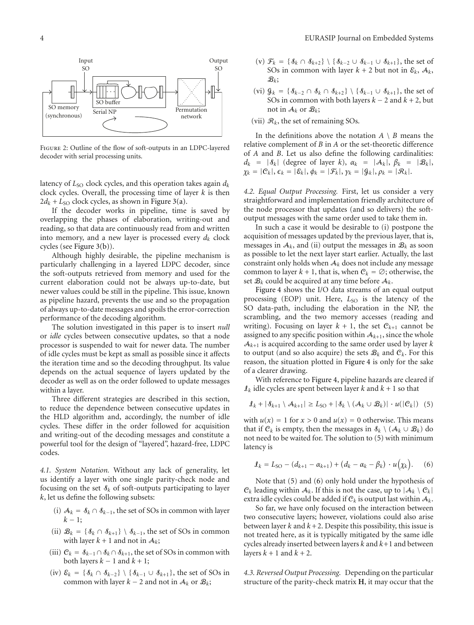

Figure 2: Outline of the flow of soft-outputs in an LDPC-layered decoder with serial processing units.

latency of  $L_{\text{SO}}$  clock cycles, and this operation takes again  $d_k$ clock cycles. Overall, the processing time of layer *k* is then  $2d_k + L_{SO}$  clock cycles, as shown in Figure 3(a).

If the decoder works in pipeline, time is saved by overlapping the phases of elaboration, writing-out and reading, so that data are continuously read from and written into memory, and a new layer is processed every  $d_k$  clock cycles (see Figure 3(b)).

Although highly desirable, the pipeline mechanism is particularly challenging in a layered LDPC decoder, since the soft-outputs retrieved from memory and used for the current elaboration could not be always up-to-date, but newer values could be still in the pipeline. This issue, known as pipeline hazard, prevents the use and so the propagation of always up-to-date messages and spoils the error-correction performance of the decoding algorithm.

The solution investigated in this paper is to insert *null* or *idle* cycles between consecutive updates, so that a node processor is suspended to wait for newer data. The number of idle cycles must be kept as small as possible since it affects the iteration time and so the decoding throughput. Its value depends on the actual sequence of layers updated by the decoder as well as on the order followed to update messages within a layer.

Three different strategies are described in this section, to reduce the dependence between consecutive updates in the HLD algorithm and, accordingly, the number of idle cycles. These differ in the order followed for acquisition and writing-out of the decoding messages and constitute a powerful tool for the design of "layered", hazard-free, LDPC codes.

*4.1. System Notation.* Without any lack of generality, let us identify a layer with one single parity-check node and focusing on the set  $\delta_k$  of soft-outputs participating to layer *k*, let us define the following subsets:

- (i)  $A_k = S_k \cap S_{k-1}$ , the set of SOs in common with layer  $k - 1$ :
- (ii)  $\mathcal{B}_k = \{ \delta_k \cap \delta_{k+1} \} \setminus \delta_{k-1}$ , the set of SOs in common with layer  $k + 1$  and not in  $A_k$ ;
- (iii)  $C_k = S_{k-1} \cap S_k \cap S_{k+1}$ , the set of SOs in common with both layers  $k - 1$  and  $k + 1$ ;
- (iv)  $\varepsilon_k = \{\delta_k \cap \delta_{k-2}\}\setminus \{\delta_{k-1} \cup \delta_{k+1}\}\$ , the set of SOs in common with layer  $k - 2$  and not in  $A_k$  or  $B_k$ ;
- (v)  $\mathcal{F}_k = \{\mathcal{S}_k \cap \mathcal{S}_{k+2}\}\setminus \{\mathcal{S}_{k-2} \cup \mathcal{S}_{k-1} \cup \mathcal{S}_{k+1}\}\$ , the set of SOs in common with layer  $k + 2$  but not in  $\mathcal{E}_k$ ,  $\mathcal{A}_k$ ,  $B_k$ ;
- (vi)  $\mathcal{G}_k = \{ \mathcal{S}_{k-2} \cap \mathcal{S}_k \cap \mathcal{S}_{k+2} \} \setminus \{ \mathcal{S}_{k-1} \cup \mathcal{S}_{k+1} \}$ , the set of SOs in common with both layers  $k - 2$  and  $k + 2$ , but not in  $A_k$  or  $B_k$ ;
- (vii)  $\mathcal{R}_k$ , the set of remaining SOs.

In the definitions above the notation  $A \setminus B$  means the relative complement of *B* in *A* or the set-theoretic difference of *A* and *B*. Let us also define the following cardinalities:  $d_k = |\mathcal{S}_k|$  (degree of layer *k*),  $\alpha_k = |\mathcal{A}_k|$ ,  $\beta_k = |\mathcal{B}_k|$ ,  $\chi_k = |C_k|, \epsilon_k = |\mathcal{E}_k|, \phi_k = |\mathcal{F}_k|, \gamma_k = |\mathcal{G}_k|, \rho_k = |\mathcal{R}_k|.$ 

*4.2. Equal Output Processing.* First, let us consider a very straightforward and implementation friendly architecture of the node processor that updates (and so delivers) the softoutput messages with the same order used to take them in.

In such a case it would be desirable to (i) postpone the acquisition of messages updated by the previous layer, that is, messages in  $A_k$ , and (ii) output the messages in  $B_k$  as soon as possible to let the next layer start earlier. Actually, the last constraint only holds when  $A_k$  does not include any message common to layer  $k + 1$ , that is, when  $C_k = \emptyset$ ; otherwise, the set  $\mathcal{B}_k$  could be acquired at any time before  $\mathcal{A}_k$ .

Figure 4 shows the I/O data streams of an equal output processing (EOP) unit. Here, *L*<sub>SO</sub> is the latency of the SO data-path, including the elaboration in the NP, the scrambling, and the two memory accesses (reading and writing). Focusing on layer  $k + 1$ , the set  $C_{k+1}$  cannot be assigned to any specific position within  $A_{k+1}$ , since the whole  $A_{k+1}$  is acquired according to the same order used by layer  $k$ to output (and so also acquire) the sets  $B_k$  and  $C_k$ . For this reason, the situation plotted in Figure 4 is only for the sake of a clearer drawing.

With reference to Figure 4, pipeline hazards are cleared if  $\mathcal{I}_k$  idle cycles are spent between layer *k* and  $k + 1$  so that

$$
\mathbf{I}_k + |\mathbf{A}_{k+1} \setminus \mathbf{A}_{k+1}| \geq L_{\text{SO}} + |\mathbf{A}_k \setminus (\mathbf{A}_k \cup \mathbf{B}_k)| \cdot u(|\mathbf{C}_k|) \tag{5}
$$

with  $u(x) = 1$  for  $x > 0$  and  $u(x) = 0$  otherwise. This means that if  $C_k$  is empty, then the messages in  $\mathcal{S}_k \setminus (\mathcal{A}_k \cup \mathcal{B}_k)$  do not need to be waited for. The solution to (5) with minimum latency is

$$
l_k = L_{\text{SO}} - (d_{k+1} - \alpha_{k+1}) + (d_k - \alpha_k - \beta_k) \cdot u(\chi_k).
$$
 (6)

Note that (5) and (6) only hold under the hypothesis of  $C_k$  leading within  $A_k$ . If this is not the case, up to  $|A_k \setminus C_k|$ extra idle cycles could be added if  $C_k$  is output last within  $A_k$ .

So far, we have only focused on the interaction between two consecutive layers; however, violations could also arise between layer  $k$  and  $k+2$ . Despite this possibility, this issue is not treated here, as it is typically mitigated by the same idle cycles already inserted between layers *k* and *k*+1 and between layers  $k + 1$  and  $k + 2$ .

*4.3. Reversed Output Processing.* Depending on the particular structure of the parity-check matrix **H**, it may occur that the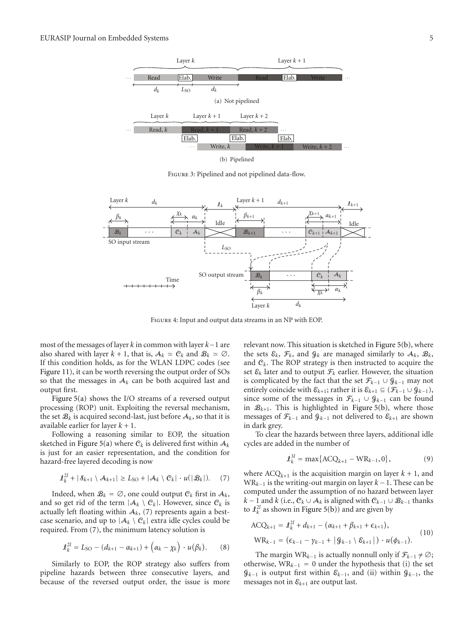

Figure 3: Pipelined and not pipelined data-flow.



Figure 4: Input and output data streams in an NP with EOP.

most of the messages of layer *k* in common with layer *k*−1 are also shared with layer  $k + 1$ , that is,  $A_k \simeq C_k$  and  $B_k \simeq \emptyset$ . If this condition holds, as for the WLAN LDPC codes (see Figure 11), it can be worth reversing the output order of SOs so that the messages in  $A_k$  can be both acquired last and output first.

Figure 5(a) shows the I/O streams of a reversed output processing (ROP) unit. Exploiting the reversal mechanism, the set  $\mathcal{B}_k$  is acquired second-last, just before  $\mathcal{A}_k$ , so that it is available earlier for layer *k* + 1.

Following a reasoning similar to EOP, the situation sketched in Figure 5(a) where  $C_k$  is delivered first within  $A_k$ is just for an easier representation, and the condition for hazard-free layered decoding is now

$$
\mathcal{L}_k^{2l} + |\mathcal{S}_{k+1} \setminus \mathcal{A}_{k+1}| \ge L_{\text{SO}} + |\mathcal{A}_k \setminus \mathcal{C}_k| \cdot u(|\mathcal{B}_k|). \tag{7}
$$

Indeed, when  $\mathcal{B}_k = \emptyset$ , one could output  $\mathcal{C}_k$  first in  $\mathcal{A}_k$ , and so get rid of the term  $|A_k \setminus C_k|$ . However, since  $C_k$  is actually left floating within  $A_k$ , (7) represents again a bestcase scenario, and up to  $|A_k \setminus C_k|$  extra idle cycles could be required. From (7), the minimum latency solution is

$$
\mathcal{J}_{k}^{2l} = L_{\text{SO}} - (d_{k+1} - \alpha_{k+1}) + (\alpha_{k} - \chi_{k}) \cdot u(\beta_{k}). \tag{8}
$$

Similarly to EOP, the ROP strategy also suffers from pipeline hazards between three consecutive layers, and because of the reversed output order, the issue is more

relevant now. This situation is sketched in Figure 5(b), where the sets  $\mathcal{E}_k$ ,  $\mathcal{F}_k$ , and  $\mathcal{G}_k$  are managed similarly to  $\mathcal{A}_k$ ,  $\mathcal{B}_k$ , and C*k*. The ROP strategy is then instructed to acquire the set  $\mathcal{E}_k$  later and to output  $\mathcal{F}_k$  earlier. However, the situation is complicated by the fact that the set  $\mathcal{F}_{k-1} \cup \mathcal{G}_{k-1}$  may not entirely coincide with  $\mathcal{E}_{k+1}$ ; rather it is  $\mathcal{E}_{k+1} \subseteq (\mathcal{F}_{k-1} \cup \mathcal{G}_{k-1}),$ since some of the messages in  $\mathcal{F}_{k-1} \cup \mathcal{G}_{k-1}$  can be found in  $\mathcal{B}_{k+1}$ . This is highlighted in Figure 5(b), where those messages of  $\mathcal{F}_{k-1}$  and  $\mathcal{G}_{k-1}$  not delivered to  $\mathcal{E}_{k+1}$  are shown in dark grey.

To clear the hazards between three layers, additional idle cycles are added in the number of

$$
\mathcal{J}_k^{3l} = \max\{ACQ_{k+1} - WR_{k-1}, 0\},\tag{9}
$$

where  $ACQ_{k+1}$  is the acquisition margin on layer  $k + 1$ , and WR*<sup>k</sup>*−<sup>1</sup> is the writing-out margin on layer *k* −1. These can be computed under the assumption of no hazard between layer *k* − 1 and *k* (i.e.,  $C_k \cup A_k$  is aligned with  $C_{k-1} \cup B_{k-1}$  thanks to  $\mathcal{L}_k^{2l}$  as shown in Figure 5(b)) and are given by

$$
ACQ_{k+1} = \mathcal{L}_{k}^{2l} + d_{k+1} - (\alpha_{k+1} + \beta_{k+1} + \epsilon_{k+1}),
$$
  
\n
$$
WR_{k-1} = (\epsilon_{k-1} - \gamma_{k-1} + |\mathcal{G}_{k-1} \setminus \mathcal{E}_{k+1}|) \cdot u(\phi_{k-1}).
$$
\n(10)

The margin WR<sub>*k*−1</sub> is actually nonnull only if  $\mathcal{F}_{k-1} \neq \emptyset$ ; otherwise, WR<sub>k−1</sub> = 0 under the hypothesis that (i) the set  $\mathcal{G}_{k-1}$  is output first within  $\varepsilon_{k-1}$ , and (ii) within  $\mathcal{G}_{k-1}$ , the messages not in  $\varepsilon_{k+1}$  are output last.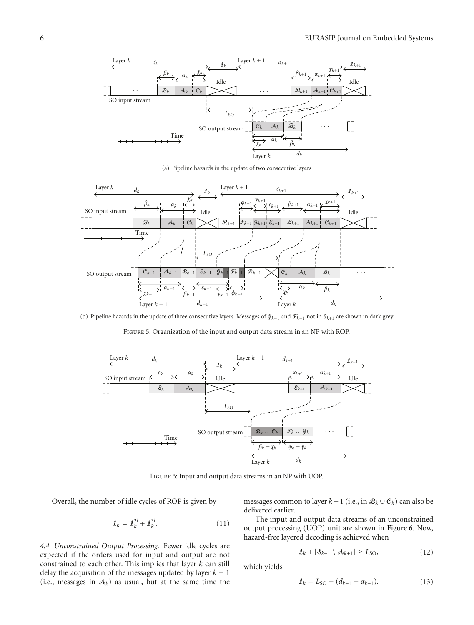

(a) Pipeline hazards in the update of two consecutive layers



(b) Pipeline hazards in the update of three consecutive layers. Messages of G*k*−<sup>1</sup> and F*k*−<sup>1</sup> not in E*k*+1 are shown in dark grey

Figure 5: Organization of the input and output data stream in an NP with ROP.



Figure 6: Input and output data streams in an NP with UOP.

Overall, the number of idle cycles of ROP is given by

$$
\mathcal{I}_k = \mathcal{I}_k^{2l} + \mathcal{I}_k^{3l}.\tag{11}
$$

*4.4. Unconstrained Output Processing.* Fewer idle cycles are expected if the orders used for input and output are not constrained to each other. This implies that layer *k* can still delay the acquisition of the messages updated by layer *k* − 1 (i.e., messages in  $A_k$ ) as usual, but at the same time the

messages common to layer  $k + 1$  (i.e., in  $\mathcal{B}_k \cup \mathcal{C}_k$ ) can also be delivered earlier.

The input and output data streams of an unconstrained output processing (UOP) unit are shown in Figure 6. Now, hazard-free layered decoding is achieved when

$$
\mathbf{I}_k + |\mathbf{S}_{k+1} \setminus \mathbf{A}_{k+1}| \ge L_{\text{SO}},\tag{12}
$$

which yields

$$
\mathbf{I}_k = L_{\text{SO}} - (d_{k+1} - \alpha_{k+1}). \tag{13}
$$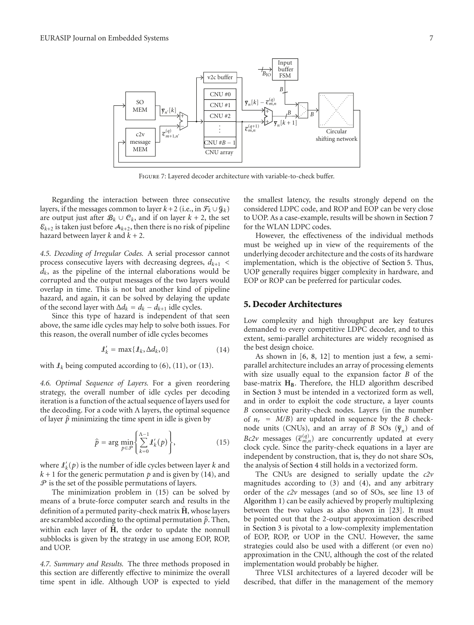

Figure 7: Layered decoder architecture with variable-to-check buffer.

Regarding the interaction between three consecutive layers, if the messages common to layer  $k+2$  (i.e., in  $\mathcal{F}_k \cup \mathcal{G}_k$ ) are output just after  $\mathcal{B}_k \cup \mathcal{C}_k$ , and if on layer  $k + 2$ , the set  $\mathcal{E}_{k+2}$  is taken just before  $\mathcal{A}_{k+2}$ , then there is no risk of pipeline hazard between layer *k* and *k* + 2.

*4.5. Decoding of Irregular Codes.* A serial processor cannot process consecutive layers with decreasing degrees, *dk*+1 *< dk*, as the pipeline of the internal elaborations would be corrupted and the output messages of the two layers would overlap in time. This is not but another kind of pipeline hazard, and again, it can be solved by delaying the update of the second layer with  $\Delta d_k = d_k - d_{k+1}$  idle cycles.

Since this type of hazard is independent of that seen above, the same idle cycles may help to solve both issues. For this reason, the overall number of idle cycles becomes

$$
\mathbf{I}'_k = \max\{\mathbf{I}_k, \Delta d_k, 0\} \tag{14}
$$

with  $I_k$  being computed according to  $(6)$ ,  $(11)$ , or  $(13)$ .

*4.6. Optimal Sequence of Layers.* For a given reordering strategy, the overall number of idle cycles per decoding iteration is a function of the actual sequence of layers used for the decoding. For a code with  $\Lambda$  layers, the optimal sequence of layer  $\hat{p}$  minimizing the time spent in idle is given by

$$
\hat{p} = \arg\min_{p \in \mathcal{P}} \left\{ \sum_{k=0}^{\Lambda-1} \mathcal{L}'_k(p) \right\},\tag{15}
$$

where  $\mathcal{L}'_k(p)$  is the number of idle cycles between layer  $k$  and  $k+1$  for the generic permutation  $p$  and is given by (14), and  $P$  is the set of the possible permutations of layers.

The minimization problem in (15) can be solved by means of a brute-force computer search and results in the definition of a permuted parity-check matrix **H** , whose layers are scrambled according to the optimal permutation  $\hat{p}$ . Then, within each layer of  $\hat{H}$ , the order to update the nonnull subblocks is given by the strategy in use among EOP, ROP, and UOP.

*4.7. Summary and Results.* The three methods proposed in this section are differently effective to minimize the overall time spent in idle. Although UOP is expected to yield

the smallest latency, the results strongly depend on the considered LDPC code, and ROP and EOP can be very close to UOP. As a case-example, results will be shown in Section 7 for the WLAN LDPC codes.

However, the effectiveness of the individual methods must be weighed up in view of the requirements of the underlying decoder architecture and the costs of its hardware implementation, which is the objective of Section 5. Thus, UOP generally requires bigger complexity in hardware, and EOP or ROP can be preferred for particular codes.

#### **5. Decoder Architectures**

Low complexity and high throughput are key features demanded to every competitive LDPC decoder, and to this extent, semi-parallel architectures are widely recognised as the best design choice.

As shown in [6, 8, 12] to mention just a few, a semiparallel architecture includes an array of processing elements with size usually equal to the expansion factor *B* of the base-matrix H<sub>B</sub>. Therefore, the HLD algorithm described in Section 3 must be intended in a vectorized form as well, and in order to exploit the code structure, a layer counts *B* consecutive parity-check nodes. Layers (in the number of  $n_r$  =  $M/B$ ) are updated in sequence by the *B* checknode units (CNUs), and an array of *B* SOs  $(\bar{y}_n)$  and of *Bc2v* messages  $(\overline{\epsilon}_{m,n}^{(q)})$  are concurrently updated at every clock cycle. Since the parity-check equations in a layer are independent by construction, that is, they do not share SOs, the analysis of Section 4 still holds in a vectorized form.

The CNUs are designed to serially update the *c2v* magnitudes according to (3) and (4), and any arbitrary order of the *c2v* messages (and so of SOs, see line 13 of Algorithm 1) can be easily achieved by properly multiplexing between the two values as also shown in [23]. It must be pointed out that the 2-output approximation described in Section 3 is pivotal to a low-complexity implementation of EOP, ROP, or UOP in the CNU. However, the same strategies could also be used with a different (or even no) approximation in the CNU, although the cost of the related implementation would probably be higher.

Three VLSI architectures of a layered decoder will be described, that differ in the management of the memory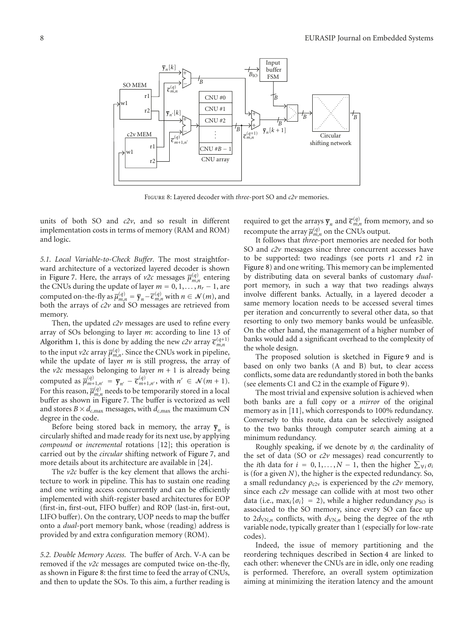

Figure 8: Layered decoder with *three*-port SO and *c2v* memories.

units of both SO and *c2v*, and so result in different implementation costs in terms of memory (RAM and ROM) and logic.

*5.1. Local Variable-to-Check Buffer.* The most straightforward architecture of a vectorized layered decoder is shown in Figure 7. Here, the arrays of  $v2c$  messages  $\overline{\mu}_{m,n}^{(q)}$  entering the CNUs during the update of layer  $m = 0, 1, \ldots, n_r - 1$ , are computed on-the-fly as  $\overline{\mu}_{m,n}^{(q)} = \overline{y}_n - \overline{\epsilon}_{m,n}^{(q)}$  with  $n \in \mathcal{N}(m)$ , and both the arrays of *c2v* and SO messages are retrieved from memory.

Then, the updated *c2v* messages are used to refine every array of SOs belonging to layer *m*: according to line 13 of Algorithm 1, this is done by adding the new  $c2v$  array  $\bar{\epsilon}_{m,n}^{(q+1)}$ to the input *v2c* array  $\overline{\mu}_{m,n}^{(q)}$ . Since the CNUs work in pipeline, while the update of layer *m* is still progress, the array of the  $v2c$  messages belonging to layer  $m + 1$  is already being computed as  $\overline{\mu}_{m+1,n'}^{(q)} = \overline{\mathbf{y}}_{n'} - \overline{\epsilon}_{m+1,n'}^{(q)}$ , with  $n' \in \mathcal{N}(m+1)$ . For this reason,  $\overline{\mu}_{m,n}^{(q)}$  needs to be temporarily stored in a local buffer as shown in Figure 7. The buffer is vectorized as well and stores  $B \times d_{c,max}$  messages, with  $d_{c,max}$  the maximum CN degree in the code.

Before being stored back in memory, the array  $\bar{y}_n$  is circularly shifted and made ready for its next use, by applying *compound* or *incremental* rotations [12]; this operation is carried out by the *circular* shifting network of Figure 7, and more details about its architecture are available in [24].

The *v2c* buffer is the key element that allows the architecture to work in pipeline. This has to sustain one reading and one writing access concurrently and can be efficiently implemented with shift-register based architectures for EOP (first-in, first-out, FIFO buffer) and ROP (last-in, first-out, LIFO buffer). On the contrary, UOP needs to map the buffer onto a *dual*-port memory bank, whose (reading) address is provided by and extra configuration memory (ROM).

*5.2. Double Memory Access.* The buffer of Arch. V-A can be removed if the *v2c* messages are computed twice on-the-fly, as shown in Figure 8: the first time to feed the array of CNUs, and then to update the SOs. To this aim, a further reading is

required to get the arrays  $\overline{\mathbf{y}}_n$  and  $\overline{\epsilon}_{m,n}^{(q)}$  from memory, and so recompute the array  $\overline{\mu}_{m,n}^{(q)}$  on the CNUs output.

It follows that *three*-port memories are needed for both SO and  $c2v$  messages since three concurrent accesses have to be supported: two readings (see ports *r*1 and *r*2 in Figure 8) and one writing. This memory can be implemented by distributing data on several banks of customary *dual*port memory, in such a way that two readings always involve different banks. Actually, in a layered decoder a same memory location needs to be accessed several times per iteration and concurrently to several other data, so that resorting to only two memory banks would be unfeasible. On the other hand, the management of a higher number of banks would add a significant overhead to the complexity of the whole design.

The proposed solution is sketched in Figure 9 and is based on only two banks (A and B) but, to clear access conflicts, some data are redundantly stored in both the banks (see elements C1 and C2 in the example of Figure 9).

The most trivial and expensive solution is achieved when both banks are a full copy or a *mirror* of the original memory as in [11], which corresponds to 100% redundancy. Conversely to this route, data can be selectively assigned to the two banks through computer search aiming at a minimum redundancy.

Roughly speaking, if we denote by *σi* the cardinality of the set of data (SO or *c2v* messages) read concurrently to the *i*th data for  $i = 0, 1, ..., N - 1$ , then the higher  $\sum_{\forall i} \sigma_i$ is (for a given *N*), the higher is the expected redundancy. So, a small redundancy  $\rho_{c2v}$  is experienced by the  $c2v$  memory, since each *c2v* message can collide with at most two other data (i.e., max<sub>*i*</sub>{ $\sigma$ *i*} = 2), while a higher redundancy  $\rho$ <sub>SO</sub> is associated to the SO memory, since every SO can face up to  $2d_{\text{VN},n}$  conflicts, with  $d_{\text{VN},n}$  being the degree of the *n*th variable node, typically greater than 1 (especially for low-rate codes).

Indeed, the issue of memory partitioning and the reordering techniques described in Section 4 are linked to each other: whenever the CNUs are in idle, only one reading is performed. Therefore, an overall system optimization aiming at minimizing the iteration latency and the amount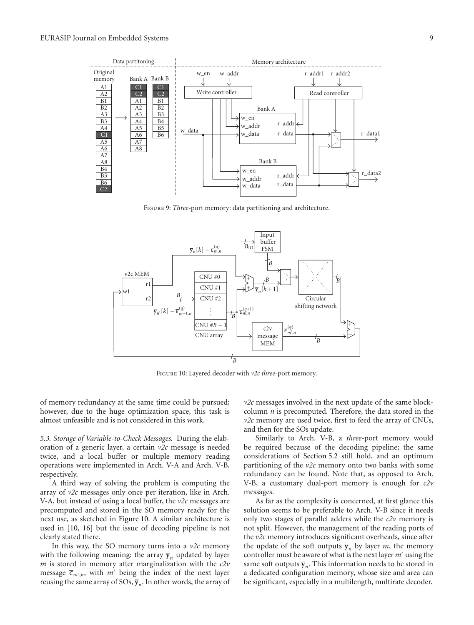

Figure 9: *Three*-port memory: data partitioning and architecture.



FIGURE 10: Layered decoder with  $v2c$  three-port memory.

of memory redundancy at the same time could be pursued; however, due to the huge optimization space, this task is almost unfeasible and is not considered in this work.

*5.3. Storage of Variable-to-Check Messages.* During the elaboration of a generic layer, a certain *v2c* message is needed twice, and a local buffer or multiple memory reading operations were implemented in Arch. V-A and Arch. V-B, respectively.

A third way of solving the problem is computing the array of *v2c* messages only once per iteration, like in Arch. V-A, but instead of using a local buffer, the *v2c* messages are precomputed and stored in the SO memory ready for the next use, as sketched in Figure 10. A similar architecture is used in [10, 16] but the issue of decoding pipeline is not clearly stated there.

In this way, the SO memory turns into a *v2c* memory with the following meaning: the array  $\bar{y}_n$  updated by layer *m* is stored in memory after marginalization with the *c2v* message  $\bar{\epsilon}_{m',n}$ , with  $m'$  being the index of the next layer reusing the same array of SOs,  $\overline{y}_n$ . In other words, the array of

*v2c* messages involved in the next update of the same blockcolumn *n* is precomputed. Therefore, the data stored in the *v2c* memory are used twice, first to feed the array of CNUs, and then for the SOs update.

Similarly to Arch. V-B, a *three*-port memory would be required because of the decoding pipeline; the same considerations of Section 5.2 still hold, and an optimum partitioning of the *v2c* memory onto two banks with some redundancy can be found. Note that, as opposed to Arch. V-B, a customary dual-port memory is enough for *c2v* messages.

As far as the complexity is concerned, at first glance this solution seems to be preferable to Arch. V-B since it needs only two stages of parallel adders while the *c2v* memory is not split. However, the management of the reading ports of the *v2c* memory introduces significant overheads, since after the update of the soft outputs  $\bar{y}_n$  by layer *m*, the memory controller must be aware of what is the next layer *m* using the same soft outputs  $\bar{y}_n$ . This information needs to be stored in a dedicated configuration memory, whose size and area can be significant, especially in a multilength, multirate decoder.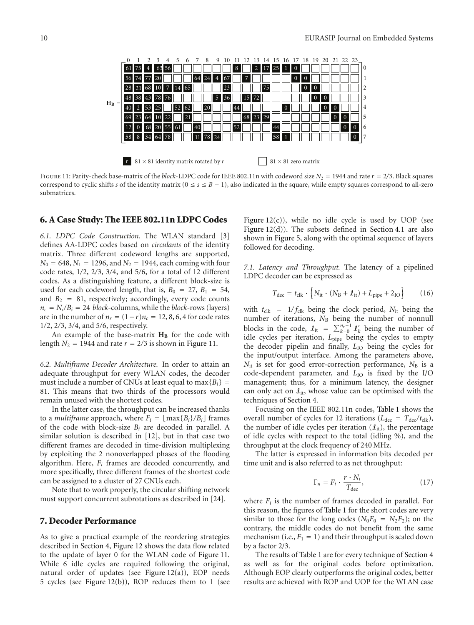

FIGURE 11: Parity-check base-matrix of the *block*-LDPC code for IEEE 802.11n with codeword size  $N_2 = 1944$  and rate  $r = 2/3$ . Black squares correspond to cyclic shifts *s* of the identity matrix ( $0 \le s \le B - 1$ ), also indicated in the square, while empty squares correspond to all-zero submatrices.

#### **6. A Case Study: The IEEE 802.11n LDPC Codes**

*6.1. LDPC Code Construction.* The WLAN standard [3] defines AA-LDPC codes based on *circulants* of the identity matrix. Three different codeword lengths are supported,  $N_0 = 648$ ,  $N_1 = 1296$ , and  $N_2 = 1944$ , each coming with four code rates, 1*/*2, 2*/*3, 3*/*4, and 5*/*6, for a total of 12 different codes. As a distinguishing feature, a different block-size is used for each codeword length, that is,  $B_0 = 27$ ,  $B_1 = 54$ , and  $B_2 = 81$ , respectively; accordingly, every code counts  $n_c = N_i/B_i = 24$  *block*-columns, while the *block*-rows (layers) are in the number of  $n_r = (1 - r)n_c = 12, 8, 6, 4$  for code rates 1*/*2, 2*/*3, 3*/*4, and 5*/*6, respectively.

An example of the base-matrix  $H_B$  for the code with length  $N_2$  = 1944 and rate  $r = 2/3$  is shown in Figure 11.

*6.2. Multiframe Decoder Architecture.* In order to attain an adequate throughput for every WLAN codes, the decoder must include a number of CNUs at least equal to  $max{B_i}$  = 81. This means that two thirds of the processors would remain unused with the shortest codes.

In the latter case, the throughput can be increased thanks to a *multiframe* approach, where  $F_i = |max{B_i}/B_i|$  frames of the code with block-size *Bi* are decoded in parallel. A similar solution is described in [12], but in that case two different frames are decoded in time-division multiplexing by exploiting the 2 nonoverlapped phases of the flooding algorithm. Here, *Fi* frames are decoded concurrently, and more specifically, three different frames of the shortest code can be assigned to a cluster of 27 CNUs each.

Note that to work properly, the circular shifting network must support concurrent subrotations as described in [24].

#### **7. Decoder Performance**

As to give a practical example of the reordering strategies described in Section 4, Figure 12 shows the data flow related to the update of layer 0 for the WLAN code of Figure 11. While 6 idle cycles are required following the original, natural order of updates (see Figure 12(a)), EOP needs 5 cycles (see Figure 12(b)), ROP reduces them to 1 (see

Figure  $12(c)$ ), while no idle cycle is used by UOP (see Figure 12(d)). The subsets defined in Section 4.1 are also shown in Figure 5, along with the optimal sequence of layers followed for decoding.

*7.1. Latency and Throughput.* The latency of a pipelined LDPC decoder can be expressed as

$$
T_{\text{dec}} = t_{\text{clk}} \cdot \left\{ N_{\text{it}} \cdot (N_{\text{B}} + \pounds_{\text{it}}) + L_{\text{pipe}} + 2_{\text{IO}} \right\} \tag{16}
$$

with  $t_{\text{clk}} = 1/f_{\text{clk}}$  being the clock period,  $N_{\text{it}}$  being the number of iterations,  $N_B$  being the number of nonnull blocks in the code,  $\mathcal{I}_{it} = \sum_{k=0}^{n_r-1} \mathcal{I}'_k$  being the number of idle cycles per iteration,  $L_{pipe}$  being the cycles to empty the decoder pipelin and finally, *L*<sub>IO</sub> being the cycles for the input/output interface. Among the parameters above, *N*<sub>it</sub> is set for good error-correction performance, *N*<sub>B</sub> is a code-dependent parameter, and *L*<sub>IO</sub> is fixed by the I/O management; thus, for a minimum latency, the designer can only act on  $\mathcal{L}_{it}$ , whose value can be optimised with the techniques of Section 4.

Focusing on the IEEE 802.11n codes, Table 1 shows the overall number of cycles for 12 iterations ( $L_{\text{dec}} = T_{\text{dec}}/t_{\text{clk}}$ ), the number of idle cycles per iteration  $(\ell_{it})$ , the percentage of idle cycles with respect to the total (idling %), and the throughput at the clock frequency of 240 MHz.

The latter is expressed in information bits decoded per time unit and is also referred to as net throughput:

$$
\Gamma_n = F_i \cdot \frac{r \cdot N_i}{T_{\text{dec}}},\tag{17}
$$

where *Fi* is the number of frames decoded in parallel. For this reason, the figures of Table 1 for the short codes are very similar to those for the long codes ( $N_0F_0 = N_2F_2$ ); on the contrary, the middle codes do not benefit from the same mechanism (i.e.,  $F_1 = 1$ ) and their throughput is scaled down by a factor 2/3.

The results of Table 1 are for every technique of Section 4 as well as for the original codes before optimization. Although EOP clearly outperforms the original codes, better results are achieved with ROP and UOP for the WLAN case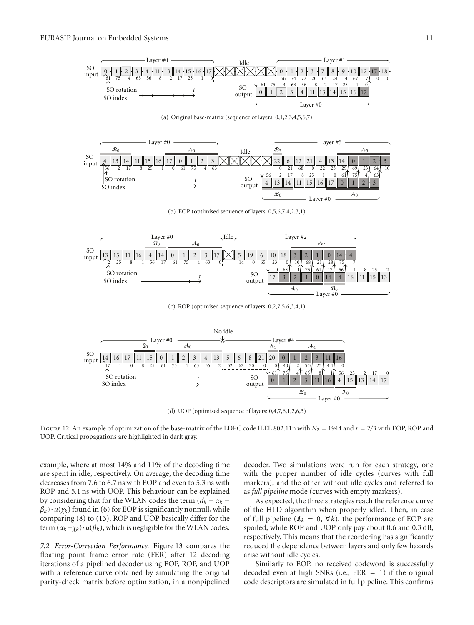

(d) UOP (optimised sequence of layers: 0,4,7,6,1,2,6,3)

FIGURE 12: An example of optimization of the base-matrix of the LDPC code IEEE 802.11n with  $N_2 = 1944$  and  $r = 2/3$  with EOP, ROP and UOP. Critical propagations are highlighted in dark gray.

example, where at most 14% and 11% of the decoding time are spent in idle, respectively. On average, the decoding time decreases from 7.6 to 6.7 ns with EOP and even to 5.3 ns with ROP and 5.1 ns with UOP. This behaviour can be explained by considering that for the WLAN codes the term  $(d_k - \alpha_k \beta_k$ ) ·  $u(\chi_k)$  found in (6) for EOP is significantly nonnull, while comparing (8) to (13), ROP and UOP basically differ for the term  $(\alpha_k - \chi_k) \cdot u(\beta_k)$ , which is negligible for the WLAN codes.

*7.2. Error-Correction Performance.* Figure 13 compares the floating point frame error rate (FER) after 12 decoding iterations of a pipelined decoder using EOP, ROP, and UOP with a reference curve obtained by simulating the original parity-check matrix before optimization, in a nonpipelined

decoder. Two simulations were run for each strategy, one with the proper number of idle cycles (curves with full markers), and the other without idle cycles and referred to as *full pipeline* mode (curves with empty markers).

As expected, the three strategies reach the reference curve of the HLD algorithm when properly idled. Then, in case of full pipeline ( $\mathcal{I}_k = 0$ ,  $\forall k$ ), the performance of EOP are spoiled, while ROP and UOP only pay about 0.6 and 0.3 dB, respectively. This means that the reordering has significantly reduced the dependence between layers and only few hazards arise without idle cycles.

Similarly to EOP, no received codeword is successfully decoded even at high SNRs (i.e.,  $FER = 1$ ) if the original code descriptors are simulated in full pipeline. This confirms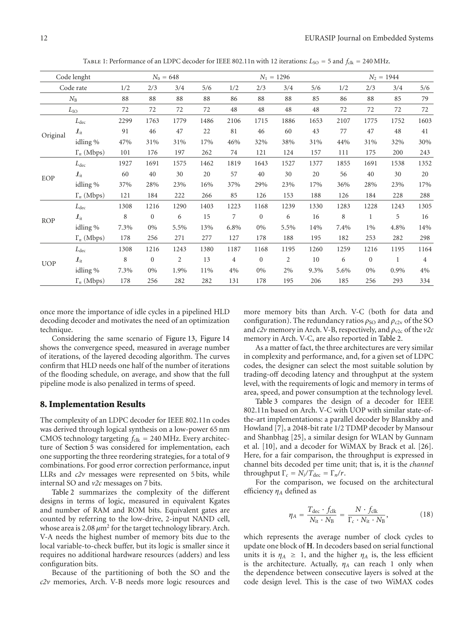TABLE 1: Performance of an LDPC decoder for IEEE 802.11n with 12 iterations:  $L_{\text{SO}} = 5$  and  $f_{\text{clk}} = 240 \text{ MHz.}$ 

| Code lenght<br>Code rate |                                   | $N_0 = 648$ |              |                |      | $N_1 = 1296$ |                  |                |      | $N_2 = 1944$ |              |      |                |
|--------------------------|-----------------------------------|-------------|--------------|----------------|------|--------------|------------------|----------------|------|--------------|--------------|------|----------------|
|                          |                                   | 1/2         | 2/3          | 3/4            | 5/6  | 1/2          | 2/3              | 3/4            | 5/6  | 1/2          | 2/3          | 3/4  | 5/6            |
| $N_{\rm B}$              |                                   | 88          | 88           | 88             | 88   | 86           | 88               | 88             | 85   | 86           | 88           | 85   | 79             |
| $L_{\rm IO}$             |                                   | 72          | 72           | 72             | 72   | 48           | 48               | 48             | 48   | 72           | 72           | 72   | 72             |
| Original                 | $L_{\text{dec}}$                  | 2299        | 1763         | 1779           | 1486 | 2106         | 1715             | 1886           | 1653 | 2107         | 1775         | 1752 | 1603           |
|                          | $\pmb{\mathcal{J}}_{\mathrm{it}}$ | 91          | 46           | 47             | 22   | 81           | 46               | 60             | 43   | 77           | 47           | 48   | 41             |
|                          | idling %                          | 47%         | 31%          | 31%            | 17%  | 46%          | 32%              | 38%            | 31%  | 44%          | 31%          | 32%  | 30%            |
|                          | $\Gamma_n$ (Mbps)                 | 101         | 176          | 197            | 262  | 74           | 121              | 124            | 157  | 111          | 175          | 200  | 243            |
| EOP                      | $L_{\rm dec}$                     | 1927        | 1691         | 1575           | 1462 | 1819         | 1643             | 1527           | 1377 | 1855         | 1691         | 1538 | 1352           |
|                          | $\boldsymbol{\ell}_{\mathrm{it}}$ | 60          | 40           | 30             | 20   | 57           | 40               | 30             | 20   | 56           | 40           | 30   | 20             |
|                          | idling %                          | 37%         | 28%          | 23%            | 16%  | 37%          | 29%              | 23%            | 17%  | 36%          | 28%          | 23%  | 17%            |
|                          | $\Gamma_n$ (Mbps)                 | 121         | 184          | 222            | 266  | 85           | 126              | 153            | 188  | 126          | 184          | 228  | 288            |
| <b>ROP</b>               | $L_{\rm dec}$                     | 1308        | 1216         | 1290           | 1403 | 1223         | 1168             | 1239           | 1330 | 1283         | 1228         | 1243 | 1305           |
|                          | $\mathcal{L}_{\text{it}}$         | 8           | $\mathbf{0}$ | 6              | 15   | 7            | $\boldsymbol{0}$ | 6              | 16   | 8            | 1            | 5    | 16             |
|                          | idling %                          | 7.3%        | $0\%$        | 5.5%           | 13%  | 6.8%         | 0%               | 5.5%           | 14%  | 7.4%         | 1%           | 4.8% | 14%            |
|                          | $\Gamma_n$ (Mbps)                 | 178         | 256          | 271            | 277  | 127          | 178              | 188            | 195  | 182          | 253          | 282  | 298            |
| <b>UOP</b>               | $L_{\rm dec}$                     | 1308        | 1216         | 1243           | 1380 | 1187         | 1168             | 1195           | 1260 | 1259         | 1216         | 1195 | 1164           |
|                          | $\boldsymbol{\ell}_{\mathrm{it}}$ | 8           | $\mathbf{0}$ | $\overline{2}$ | 13   | 4            | $\boldsymbol{0}$ | $\overline{2}$ | 10   | 6            | $\mathbf{0}$ | 1    | $\overline{4}$ |
|                          | idling %                          | 7.3%        | 0%           | 1.9%           | 11%  | 4%           | 0%               | 2%             | 9.3% | 5.6%         | $0\%$        | 0.9% | 4%             |
|                          | $\Gamma_n$ (Mbps)                 | 178         | 256          | 282            | 282  | 131          | 178              | 195            | 206  | 185          | 256          | 293  | 334            |

once more the importance of idle cycles in a pipelined HLD decoding decoder and motivates the need of an optimization technique.

Considering the same scenario of Figure 13, Figure 14 shows the convergence speed, measured in average number of iterations, of the layered decoding algorithm. The curves confirm that HLD needs one half of the number of iterations of the flooding schedule, on average, and show that the full pipeline mode is also penalized in terms of speed.

#### **8. Implementation Results**

The complexity of an LDPC decoder for IEEE 802.11n codes was derived through logical synthesis on a low-power 65 nm CMOS technology targeting  $f_{\text{clk}} = 240 \text{ MHz}$ . Every architecture of Section 5 was considered for implementation, each one supporting the three reordering strategies, for a total of 9 combinations. For good error correction performance, input LLRs and *c2v* messages were represented on 5 bits, while internal SO and *v2c* messages on 7 bits.

Table 2 summarizes the complexity of the different designs in terms of logic, measured in equivalent Kgates and number of RAM and ROM bits. Equivalent gates are counted by referring to the low-drive, 2-input NAND cell, whose area is 2.08  $μm²$  for the target technology library. Arch. V-A needs the highest number of memory bits due to the local variable-to-check buffer, but its logic is smaller since it requires no additional hardware resources (adders) and less configuration bits.

Because of the partitioning of both the SO and the *c2v* memories, Arch. V-B needs more logic resources and

more memory bits than Arch. V-C (both for data and configuration). The redundancy ratios  $\rho_{SO}$  and  $\rho_{c2v}$  of the SO and  $c2v$  memory in Arch. V-B, respectively, and  $\rho_{v2c}$  of the  $v2c$ memory in Arch. V-C, are also reported in Table 2.

As a matter of fact, the three architectures are very similar in complexity and performance, and, for a given set of LDPC codes, the designer can select the most suitable solution by trading-off decoding latency and throughput at the system level, with the requirements of logic and memory in terms of area, speed, and power consumption at the technology level.

Table 3 compares the design of a decoder for IEEE 802.11n based on Arch. V-C with UOP with similar state-ofthe-art implementations: a parallel decoder by Blanskby and Howland [7], a 2048-bit rate 1/2 TDMP decoder by Mansour and Shanbhag [25], a similar design for WLAN by Gunnam et al. [10], and a decoder for WiMAX by Brack et al. [26]. Here, for a fair comparison, the throughput is expressed in channel bits decoded per time unit; that is, it is the *channel* throughput  $\Gamma_c = N_i/T_{\text{dec}} = \Gamma_n/r$ .

For the comparison, we focused on the architectural efficiency  $\eta_A$  defined as

$$
\eta_A = \frac{T_{\text{dec}} \cdot f_{\text{clk}}}{N_{\text{it}} \cdot N_{\text{B}}} = \frac{N \cdot f_{\text{clk}}}{\Gamma_c \cdot N_{\text{it}} \cdot N_{\text{B}}},\tag{18}
$$

which represents the average number of clock cycles to update one block of **H**. In decoders based on serial functional units it is  $\eta_A \geq 1$ , and the higher  $\eta_A$  is, the less efficient is the architecture. Actually,  $\eta_A$  can reach 1 only when the dependence between consecutive layers is solved at the code design level. This is the case of two WiMAX codes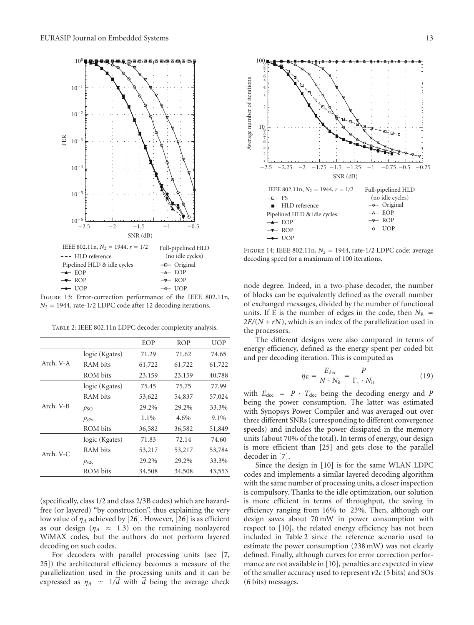

Figure 13: Error-correction performance of the IEEE 802.11n,  $N_2$  = 1944, rate-1/2 LDPC code after 12 decoding iterations.

Table 2: IEEE 802.11n LDPC decoder complexity analysis.

|           |                  | EOP    | <b>ROP</b> | <b>UOP</b> |
|-----------|------------------|--------|------------|------------|
|           | logic (Kgates)   | 71.29  | 71.62      | 74.65      |
| Arch. V-A | RAM bits         | 61,722 | 61,722     | 61,722     |
|           | ROM bits         | 23,159 | 23,159     | 40,788     |
|           | logic (Kgates)   | 75.45  | 75.75      | 77.99      |
|           | RAM bits         | 53,622 | 54,837     | 57,024     |
| Arch. V-B | $\rho_{SO}$      | 29.2%  | 29.2%      | 33.3%      |
|           | $\rho_{c2v}$     | 1.1%   | 4.6%       | 9.1%       |
|           | ROM bits         | 36,582 | 36,582     | 51,849     |
|           | logic (Kgates)   | 71.83  | 72.14      | 74.60      |
| Arch. V-C | RAM bits         | 53,217 | 53,217     | 53,784     |
|           | $\rho_{\rm v2c}$ | 29.2%  | 29.2%      | 33.3%      |
|           | ROM bits         | 34,508 | 34,508     | 43,553     |

(specifically, class 1/2 and class 2/3B codes) which are hazardfree (or layered) "by construction", thus explaining the very low value of  $\eta_A$  achieved by [26]. However, [26] is as efficient as our design ( $\eta_A \approx 1.3$ ) on the remaining nonlayered WiMAX codes, but the authors do not perform layered decoding on such codes.

For decoders with parallel processing units (see [7, 25]) the architectural efficiency becomes a measure of the parallelization used in the processing units and it can be expressed as  $\eta_A \approx 1/d$  with *d* being the average check



Figure 14: IEEE 802.11n, *N*<sup>2</sup> = 1944, rate-1*/*2 LDPC code: average decoding speed for a maximum of 100 iterations.

node degree. Indeed, in a two-phase decoder, the number of blocks can be equivalently defined as the overall number of exchanged messages, divided by the number of functional units. If E is the number of edges in the code, then  $N_B$  =  $2E/(N + rN)$ , which is an index of the parallelization used in the processors.

The different designs were also compared in terms of energy efficiency, defined as the energy spent per coded bit and per decoding iteration. This is computed as

$$
\eta_E = \frac{E_{\text{dec}}}{N \cdot N_{\text{it}}} = \frac{P}{\Gamma_c \cdot N_{\text{it}}} \tag{19}
$$

with  $E_{\text{dec}} = P \cdot T_{\text{dec}}$  being the decoding energy and *P* being the power consumption. The latter was estimated with Synopsys Power Compiler and was averaged out over three different SNRs (corresponding to different convergence speeds) and includes the power dissipated in the memory units (about 70% of the total). In terms of energy, our design is more efficient than [25] and gets close to the parallel decoder in [7].

Since the design in [10] is for the same WLAN LDPC codes and implements a similar layered decoding algorithm with the same number of processing units, a closer inspection is compulsory. Thanks to the idle optimization, our solution is more efficient in terms of throughput, the saving in efficiency ranging from 16% to 23%. Then, although our design saves about 70 mW in power consumption with respect to [10], the related energy efficiency has not been included in Table 2 since the reference scenario used to estimate the power consumption (238 mW) was not clearly defined. Finally, although curves for error correction performance are not available in [10], penalties are expected in view of the smaller accuracy used to represent *v*2*c* (5 bits) and SOs (6 bits) messages.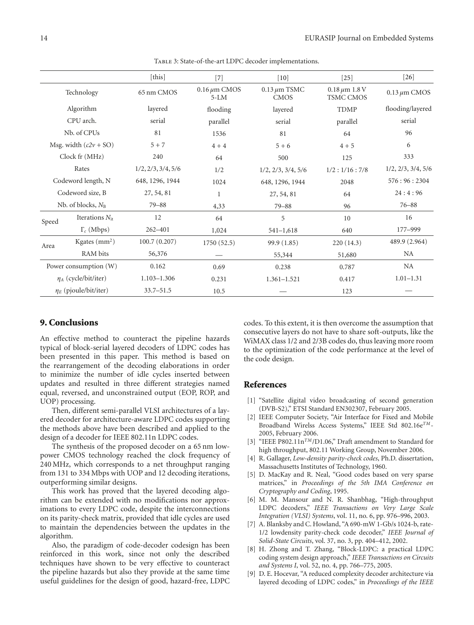|                            |                      | [this]             | $[7]$                       | $\lceil 10 \rceil$               | $[25]$                            | $\lceil 26 \rceil$ |
|----------------------------|----------------------|--------------------|-----------------------------|----------------------------------|-----------------------------------|--------------------|
| Technology                 |                      | 65 nm CMOS         | $0.16 \mu m$ CMOS<br>$5-LM$ | $0.13 \mu m$ TSMC<br><b>CMOS</b> | $0.18 \,\mu m$ 1.8 V<br>TSMC CMOS | $0.13 \mu m$ CMOS  |
| Algorithm                  |                      | layered            | flooding                    | layered                          | <b>TDMP</b>                       | flooding/layered   |
| CPU arch.                  |                      | serial             | parallel                    | serial                           | parallel                          | serial             |
| Nb. of CPUs                |                      | 81                 | 1536                        | 81                               | 64                                | 96                 |
| Msg. width $(c2v + SO)$    |                      | $5 + 7$            | $4 + 4$                     | $5 + 6$                          | $4 + 5$                           | 6                  |
| Clock fr (MHz)             |                      | 240                | 64                          | 500                              | 125                               | 333                |
| Rates                      |                      | 1/2, 2/3, 3/4, 5/6 | 1/2                         | $1/2$ , $2/3$ , $3/4$ , $5/6$    | 1/2:1/16:7/8                      | 1/2, 2/3, 3/4, 5/6 |
| Codeword length, N         |                      | 648, 1296, 1944    | 1024                        | 648, 1296, 1944                  | 2048                              | 576:96:2304        |
| Codeword size, B           |                      | 27, 54, 81         | 1                           | 27, 54, 81                       | 64                                | 24:4:96            |
|                            | Nb. of blocks, $N_B$ | $79 - 88$          | 4,33                        | $79 - 88$                        | 96                                | $76 - 88$          |
| Speed                      | Iterations $N_{it}$  | 12                 | 64                          | 5                                | 10                                | 16                 |
|                            | $\Gamma_c$ (Mbps)    | 262-401            | 1,024                       | $541 - 1,618$                    | 640                               | 177-999            |
| Area                       | Kgates $(mm2)$       | 100.7(0.207)       | 1750(52.5)                  | 99.9 (1.85)                      | 220(14.3)                         | 489.9 (2.964)      |
|                            | RAM bits             | 56,376             |                             | 55,344                           | 51,680                            | NA                 |
| Power consumption (W)      |                      | 0.162              | 0.69                        | 0.238                            | 0.787                             | NA                 |
| $\eta_A$ (cycle/bit/iter)  |                      | $1.103 - 1.306$    | 0.231                       | $1.361 - 1.521$                  | 0.417                             | $1.01 - 1.31$      |
| $\eta_E$ (pjoule/bit/iter) |                      | $33.7 - 51.5$      | 10.5                        |                                  | 123                               |                    |

TABLE 3: State-of-the-art LDPC decoder implementations.

#### **9. Conclusions**

An effective method to counteract the pipeline hazards typical of block-serial layered decoders of LDPC codes has been presented in this paper. This method is based on the rearrangement of the decoding elaborations in order to minimize the number of idle cycles inserted between updates and resulted in three different strategies named equal, reversed, and unconstrained output (EOP, ROP, and UOP) processing.

Then, different semi-parallel VLSI architectures of a layered decoder for architecture-aware LDPC codes supporting the methods above have been described and applied to the design of a decoder for IEEE 802.11n LDPC codes.

The synthesis of the proposed decoder on a 65 nm lowpower CMOS technology reached the clock frequency of 240 MHz, which corresponds to a net throughput ranging from 131 to 334 Mbps with UOP and 12 decoding iterations, outperforming similar designs.

This work has proved that the layered decoding algorithm can be extended with no modifications nor approximations to every LDPC code, despite the interconnections on its parity-check matrix, provided that idle cycles are used to maintain the dependencies between the updates in the algorithm.

Also, the paradigm of code-decoder codesign has been reinforced in this work, since not only the described techniques have shown to be very effective to counteract the pipeline hazards but also they provide at the same time useful guidelines for the design of good, hazard-free, LDPC

codes. To this extent, it is then overcome the assumption that consecutive layers do not have to share soft-outputs, like the WiMAX class 1/2 and 2/3B codes do, thus leaving more room to the optimization of the code performance at the level of the code design.

#### **References**

- [1] "Satellite digital video broadcasting of second generation (DVB-S2)," ETSI Standard EN302307, February 2005.
- [2] IEEE Computer Society, "Air Interface for Fixed and Mobile Broadband Wirelss Access Systems," IEEE Std 802.16e*TM*-2005, February 2006.
- "IEEE P802.11n<sup>TM</sup>/D1.06," Draft amendment to Standard for high throughput, 802.11 Working Group, November 2006.
- [4] R. Gallager, *Low-density parity-check codes*, Ph.D. dissertation, Massachusetts Institutes of Technology, 1960.
- [5] D. MacKay and R. Neal, "Good codes based on very sparse matrices," in *Proceedings of the 5th IMA Conference on Cryptography and Coding*, 1995.
- [6] M. M. Mansour and N. R. Shanbhag, "High-throughput LDPC decoders," *IEEE Transactions on Very Large Scale Integration (VLSI) Systems*, vol. 11, no. 6, pp. 976–996, 2003.
- [7] A. Blanksby and C. Howland, "A 690-mW 1-Gb/s 1024-b, rate-1/2 lowdensity parity-check code decoder," *IEEE Journal of Solid-State Circuits*, vol. 37, no. 3, pp. 404–412, 2002.
- [8] H. Zhong and T. Zhang, "Block-LDPC: a practical LDPC coding system design approach," *IEEE Transactions on Circuits and Systems I*, vol. 52, no. 4, pp. 766–775, 2005.
- [9] D. E. Hocevar, "A reduced complexity decoder architecture via layered decoding of LDPC codes," in *Proceedings of the IEEE*